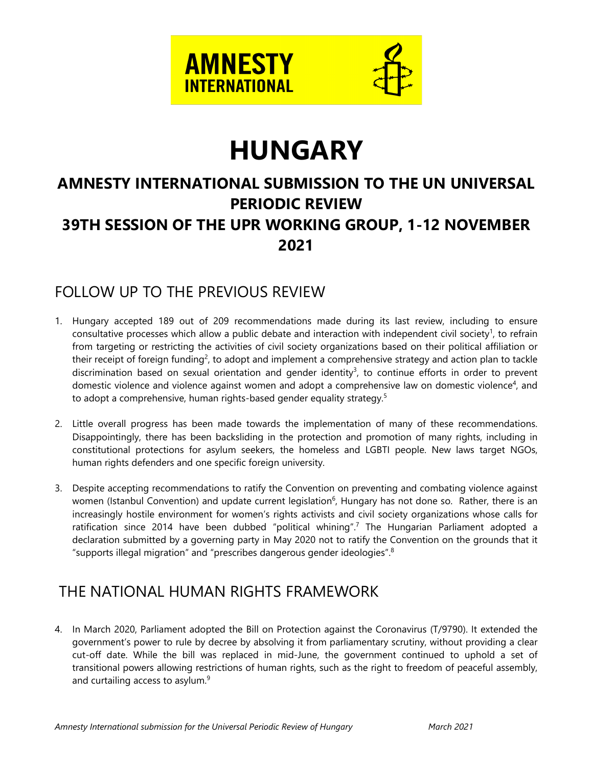

# **HUNGARY**

# **AMNESTY INTERNATIONAL SUBMISSION TO THE UN UNIVERSAL PERIODIC REVIEW 39TH SESSION OF THE UPR WORKING GROUP, 1-12 NOVEMBER 2021**

### FOLLOW UP TO THE PREVIOUS REVIEW

- 1. Hungary accepted 189 out of 209 recommendations made during its last review, including to ensure consultative processes which allow a public debate and interaction with independent civil society<sup>1</sup>, to refrain from targeting or restricting the activities of civil society organizations based on their political affiliation or their receipt of foreign funding<sup>2</sup>, to adopt and implement a comprehensive strategy and action plan to tackle discrimination based on sexual orientation and gender identity 3 , to continue efforts in order to prevent domestic violence and violence against women and adopt a comprehensive law on domestic violence<sup>4</sup>, and to adopt a comprehensive, human rights-based gender equality strategy.<sup>5</sup>
- 2. Little overall progress has been made towards the implementation of many of these recommendations. Disappointingly, there has been backsliding in the protection and promotion of many rights, including in constitutional protections for asylum seekers, the homeless and LGBTI people. New laws target NGOs, human rights defenders and one specific foreign university.
- 3. Despite accepting recommendations to ratify the Convention on preventing and combating violence against women (Istanbul Convention) and update current legislation<sup>6</sup>, Hungary has not done so. Rather, there is an increasingly hostile environment for women'<sup>s</sup> rights activists and civil society organizations whose calls for ratification since 2014 have been dubbed "political whining".<sup>7</sup> The Hungarian Parliament adopted a declaration submitted by <sup>a</sup> governing party in May 2020 not to ratify the Convention on the grounds that it "supports illegal migration" and "prescribes dangerous gender ideologies". $^8$

## THE NATIONAL HUMAN RIGHTS FRAMEWORK

4. In March 2020, Parliament adopted the Bill on Protection against the Coronavirus (T/9790). It extended the government'<sup>s</sup> power to rule by decree by absolving it from parliamentary scrutiny, without providing <sup>a</sup> clear cut-off date. While the bill was replaced in mid-June, the governmen<sup>t</sup> continued to uphold <sup>a</sup> set of transitional powers allowing restrictions of human rights, such as the right to freedom of peaceful assembly, and curtailing access to asylum.<sup>9</sup>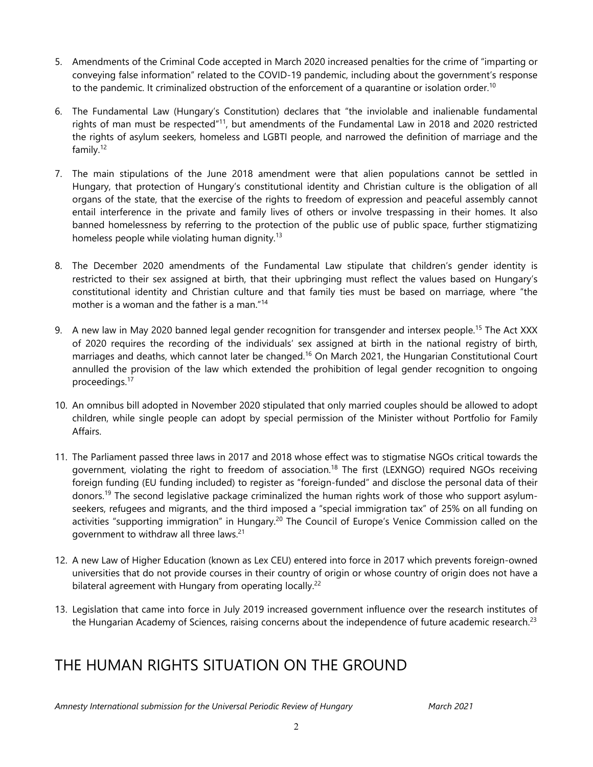- 5. Amendments of the Criminal Code accepted in March 2020 increased penalties for the crime of "imparting or conveying false information" related to the COVID-19 pandemic, including about the government'<sup>s</sup> response to the pandemic. It criminalized obstruction of the enforcement of a quarantine or isolation order.<sup>10</sup>
- 6. The Fundamental Law (Hungary'<sup>s</sup> Constitution) declares that "the inviolable and inalienable fundamental rights of man must be respected"<sup>11</sup>, but amendments of the Fundamental Law in 2018 and 2020 restricted the rights of asylum seekers, homeless and LGBTI people, and narrowed the definition of marriage and the family. 12
- 7. The main stipulations of the June 2018 amendment were that alien populations cannot be settled in Hungary, that protection of Hungary'<sup>s</sup> constitutional identity and Christian culture is the obligation of all organs of the state, that the exercise of the rights to freedom of expression and peaceful assembly cannot entail interference in the private and family lives of others or involve trespassing in their homes. It also banned homelessness by referring to the protection of the public use of public space, further stigmatizing homeless people while violating human dignity.<sup>13</sup>
- 8. The December 2020 amendments of the Fundamental Law stipulate that children'<sup>s</sup> gender identity is restricted to their sex assigned at birth, that their upbringing must reflect the values based on Hungary'<sup>s</sup> constitutional identity and Christian culture and that family ties must be based on marriage, where "the mother is <sup>a</sup> woman and the father is <sup>a</sup> man." 14
- 9. A new law in May 2020 banned legal gender recognition for transgender and intersex people.<sup>15</sup> The Act XXX of 2020 requires the recording of the individuals' sex assigned at birth in the national registry of birth, marriages and deaths, which cannot later be changed. 16 On March 2021, the Hungarian Constitutional Court annulled the provision of the law which extended the prohibition of legal gender recognition to ongoing proceedings.<sup>17</sup>
- 10. An omnibus bill adopted in November 2020 stipulated that only married couples should be allowed to adopt children, while single people can adopt by special permission of the Minister without Portfolio for Family Affairs.
- 11. The Parliament passed three laws in 2017 and 2018 whose effect was to stigmatise NGOs critical towards the government, violating the right to freedom of association. 18 The first (LEXNGO) required NGOs receiving foreign funding (EU funding included) to register as "foreign-funded" and disclose the personal data of their donors. 19 The second legislative package criminalized the human rights work of those who support asylumseekers, refugees and migrants, and the third imposed <sup>a</sup> "special immigration tax" of 25% on all funding on activities "supporting immigration" in Hungary.<sup>20</sup> The Council of Europe's Venice Commission called on the government to withdraw all three laws.<sup>21</sup>
- 12. A new Law of Higher Education (known as Lex CEU) entered into force in 2017 which prevents foreign-owned universities that do not provide courses in their country of origin or whose country of origin does not have <sup>a</sup> bilateral agreement with Hungary from operating locally.<sup>22</sup>
- 13. Legislation that came into force in July 2019 increased governmen<sup>t</sup> influence over the research institutes of the Hungarian Academy of Sciences, raising concerns about the independence of future academic research.<sup>23</sup>

## THE HUMAN RIGHTS SITUATION ON THE GROUND

*Amnesty International submission for the Universal Periodic Review of Hungary March 2021*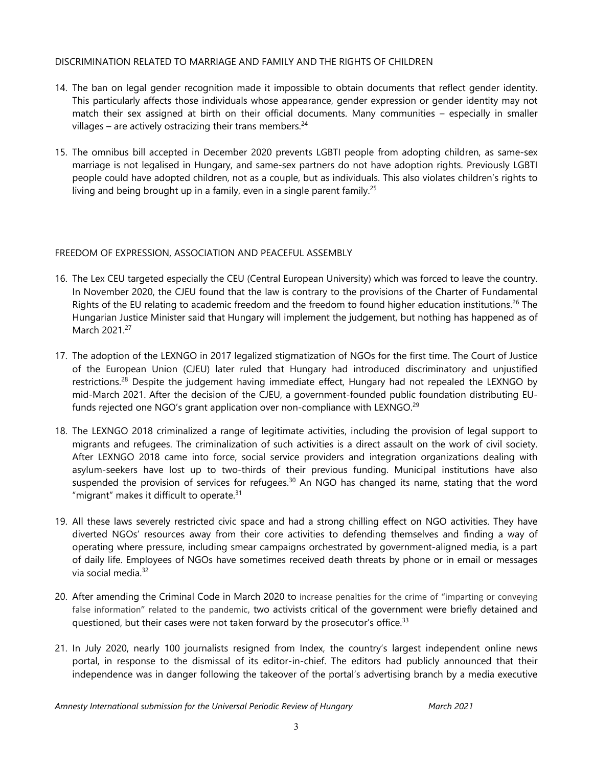#### DISCRIMINATION RELATED TO MARRIAGE AND FAMILY AND THE RIGHTS OF CHILDREN

- 14. The ban on legal gender recognition made it impossible to obtain documents that reflect gender identity. This particularly affects those individuals whose appearance, gender expression or gender identity may not match their sex assigned at birth on their official documents. Many communities – especially in smaller villages – are actively ostracizing their trans members.<sup>24</sup>
- 15. The omnibus bill accepted in December 2020 prevents LGBTI people from adopting children, as same-sex marriage is not legalised in Hungary, and same-sex partners do not have adoption rights. Previously LGBTI people could have adopted children, not as <sup>a</sup> couple, but as individuals. This also violates children'<sup>s</sup> rights to living and being brought up in a family, even in a single parent family.<sup>25</sup>

#### FREEDOM OF EXPRESSION, ASSOCIATION AND PEACEFUL ASSEMBLY

- 16. The Lex CEU targeted especially the CEU (Central European University) which was forced to leave the country. In November 2020, the CJEU found that the law is contrary to the provisions of the Charter of Fundamental Rights of the EU relating to academic freedom and the freedom to found higher education institutions.<sup>26</sup> The Hungarian Justice Minister said that Hungary will implement the judgement, but nothing has happened as of March 2021.<sup>27</sup>
- 17. The adoption of the LEXNGO in 2017 legalized stigmatization of NGOs for the first time. The Court of Justice of the European Union (CJEU) later ruled that Hungary had introduced discriminatory and unjustified restrictions.<sup>28</sup> Despite the judgement having immediate effect, Hungary had not repealed the LEXNGO by mid-March 2021. After the decision of the CJEU, <sup>a</sup> government-founded public foundation distributing EUfunds rejected one NGO's grant application over non-compliance with LEXNGO.<sup>29</sup>
- 18. The LEXNGO 2018 criminalized <sup>a</sup> range of legitimate activities, including the provision of legal support to migrants and refugees. The criminalization of such activities is <sup>a</sup> direct assault on the work of civil society. After LEXNGO 2018 came into force, social service providers and integration organizations dealing with asylum-seekers have lost up to two-thirds of their previous funding. Municipal institutions have also suspended the provision of services for refugees.<sup>30</sup> An NGO has changed its name, stating that the word "migrant" makes it difficult to operate. $^{\text{31}}$
- 19. All these laws severely restricted civic space and had <sup>a</sup> strong chilling effect on NGO activities. They have diverted NGOs' resources away from their core activities to defending themselves and finding <sup>a</sup> way of operating where pressure, including smear campaigns orchestrated by government-aligned media, is <sup>a</sup> part of daily life. Employees of NGOs have sometimes received death threats by phone or in email or messages via social media.<sup>32</sup>
- 20. After amending the Criminal Code in March 2020 to increase penalties for the crime of "imparting or conveying false information" related to the pandemic, two activists critical of the governmen<sup>t</sup> were briefly detained and questioned, but their cases were not taken forward by the prosecutor's office.<sup>33</sup>
- 21. In July 2020, nearly 100 journalists resigned from Index, the country'<sup>s</sup> largest independent online news portal, in response to the dismissal of its editor-in-chief. The editors had publicly announced that their independence was in danger following the takeover of the portal'<sup>s</sup> advertising branch by <sup>a</sup> media executive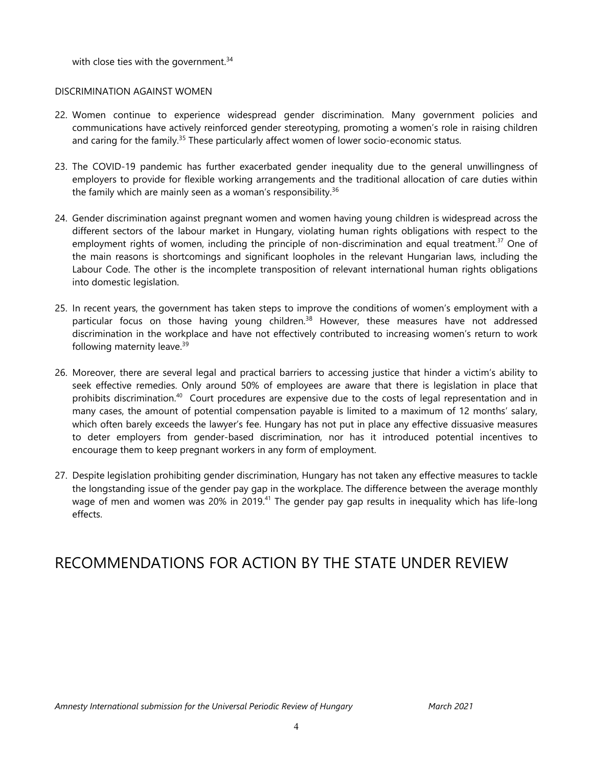with close ties with the government. $^{\rm 34}$ 

#### DISCRIMINATION AGAINST WOMEN

- 22. Women continue to experience widespread gender discrimination. Many governmen<sup>t</sup> policies and communications have actively reinforced gender stereotyping, promoting <sup>a</sup> women'<sup>s</sup> role in raising children and caring for the family.<sup>35</sup> These particularly affect women of lower socio-economic status.
- 23. The COVID-19 pandemic has further exacerbated gender inequality due to the general unwillingness of employers to provide for flexible working arrangements and the traditional allocation of care duties within the family which are mainly seen as a woman's responsibility.<sup>36</sup>
- 24. Gender discrimination against pregnan<sup>t</sup> women and women having young children is widespread across the different sectors of the labour market in Hungary, violating human rights obligations with respect to the employment rights of women, including the principle of non-discrimination and equal treatment.<sup>37</sup> One of the main reasons is shortcomings and significant loopholes in the relevant Hungarian laws, including the Labour Code. The other is the incomplete transposition of relevant international human rights obligations into domestic legislation.
- 25. In recent years, the governmen<sup>t</sup> has taken steps to improve the conditions of women'<sup>s</sup> employment with <sup>a</sup> particular focus on those having young children. $^{\rm 38}$  However, these measures have not addressed discrimination in the workplace and have not effectively contributed to increasing women'<sup>s</sup> return to work following maternity leave. 39
- 26. Moreover, there are several legal and practical barriers to accessing justice that hinder <sup>a</sup> victim'<sup>s</sup> ability to seek effective remedies. Only around 50% of employees are aware that there is legislation in place that prohibits discrimination. $^{40}$  Court procedures are expensive due to the costs of legal representation and in many cases, the amount of potential compensation payable is limited to <sup>a</sup> maximum of 12 months' salary, which often barely exceeds the lawyer'<sup>s</sup> fee. Hungary has not put in place any effective dissuasive measures to deter employers from gender-based discrimination, nor has it introduced potential incentives to encourage them to keep pregnan<sup>t</sup> workers in any form of employment.
- 27. Despite legislation prohibiting gender discrimination, Hungary has not taken any effective measures to tackle the longstanding issue of the gender pay gap in the workplace. The difference between the average monthly wage of men and women was 20% in 2019.<sup>41</sup> The gender pay gap results in inequality which has life-long effects.

### RECOMMENDATIONS FOR ACTION BY THE STATE UNDER REVIEW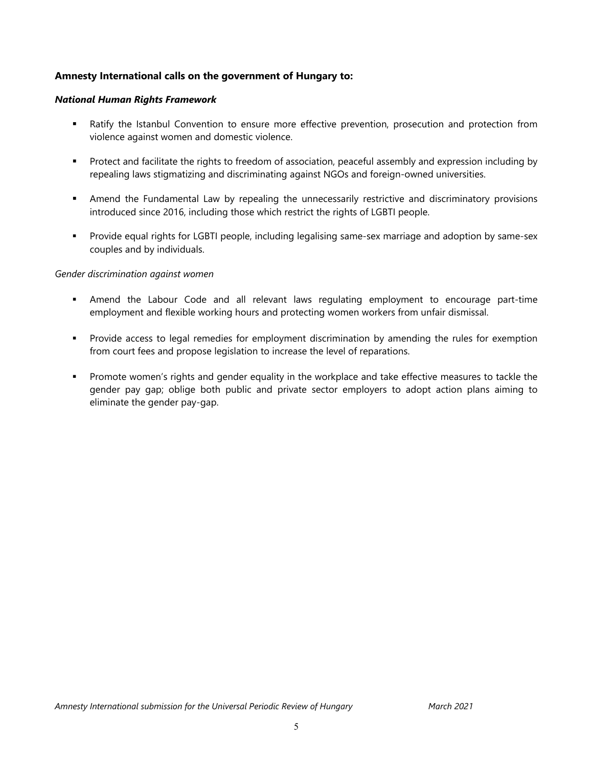#### **Amnesty International calls on the government of Hungary to:**

#### *National Human Rights Framework*

- Ratify the Istanbul Convention to ensure more effective prevention, prosecution and protection from violence against women and domestic violence.
- Protect and facilitate the rights to freedom of association, peaceful assembly and expression including by repealing laws stigmatizing and discriminating against NGOs and foreign-owned universities.
- Amend the Fundamental Law by repealing the unnecessarily restrictive and discriminatory provisions introduced since 2016, including those which restrict the rights of LGBTI people.
- Provide equal rights for LGBTI people, including legalising same-sex marriage and adoption by same-sex couples and by individuals.

#### *Gender discrimination against women*

- Amend the Labour Code and all relevant laws regulating employment to encourage part-time employment and flexible working hours and protecting women workers from unfair dismissal.
- Provide access to legal remedies for employment discrimination by amending the rules for exemption from court fees and propose legislation to increase the level of reparations.
- Promote women'<sup>s</sup> rights and gender equality in the workplace and take effective measures to tackle the gender pay gap; oblige both public and private sector employers to adopt action plans aiming to eliminate the gender pay-gap.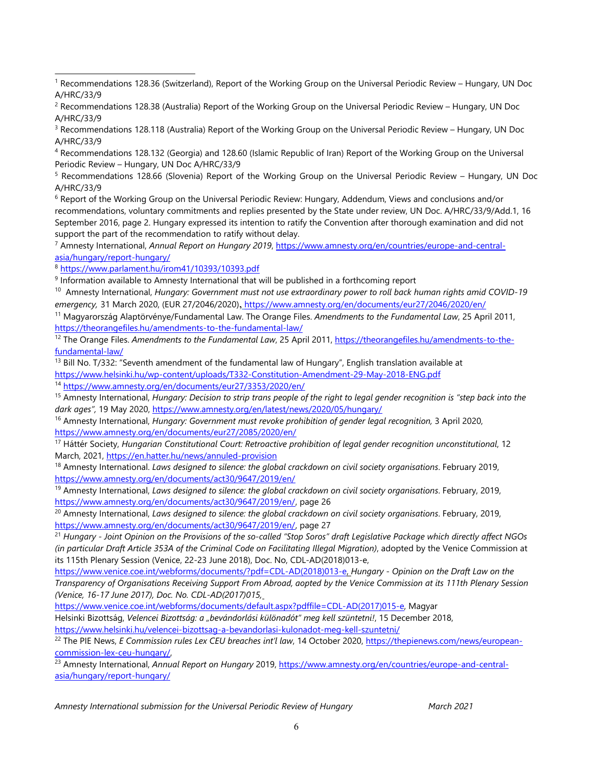3 Recommendations 128.118 (Australia) Report of the Working Group on the Universal Periodic Review – Hungary, UN Doc A/HRC/33/9

4 Recommendations 128.132 (Georgia) and 128.60 (Islamic Republic of Iran) Report of the Working Group on the Universal Periodic Review – Hungary, UN Doc A/HRC/33/9

5 Recommendations 128.66 (Slovenia) Report of the Working Group on the Universal Periodic Review – Hungary, UN Doc A/HRC/33/9

6 Report of the Working Group on the Universal Periodic Review: Hungary, Addendum, Views and conclusions and/or recommendations, voluntary commitments and replies presented by the State under review, UN Doc. A/HRC/33/9/Add.1, 16 September 2016, page 2. Hungary expressed its intention to ratify the Convention after thorough examination and did not support the part of the recommendation to ratify without delay.

7 Amnesty International, *Annual Report on Hungary 2019*, [https://www.amnesty.org/en/countries/europe-and-central](https://www.amnesty.org/en/countries/europe-and-central-asia/hungary/report-hungary/)[asia/hungary/report-hungary/](https://www.amnesty.org/en/countries/europe-and-central-asia/hungary/report-hungary/)

8 <https://www.parlament.hu/irom41/10393/10393.pdf>

9 Information available to Amnesty International that will be published in <sup>a</sup> forthcoming report

10 Amnesty International, *Hungary: Government must not use extraordinary power to roll back human rights amid COVID-19 emergency,* 31 March 2020, (EUR 27/2046/2020), <https://www.amnesty.org/en/documents/eur27/2046/2020/en/>

<sup>11</sup> Magyarország Alaptörvénye/Fundamental Law. The Orange Files. *Amendments to the Fundamental Law*, <sup>25</sup> April 2011, <https://theorangefiles.hu/amendments-to-the-fundamental-law/>

12 The Orange Files. *Amendments to the Fundamental Law*, 25 April 2011, [https://theorangefiles.hu/amendments-to-the](https://theorangefiles.hu/amendments-to-the-fundamental-law/)[fundamental-law/](https://theorangefiles.hu/amendments-to-the-fundamental-law/)

<sup>13</sup> Bill No. T/332: "Seventh amendment of the fundamental law of Hungary", English translation available at <https://www.helsinki.hu/wp-content/uploads/T332-Constitution-Amendment-29-May-2018-ENG.pdf>

<sup>14</sup> <https://www.amnesty.org/en/documents/eur27/3353/2020/en/>

<sup>15</sup> Amnesty International, Hungary: Decision to strip trans people of the right to legal gender recognition is "step back into the *dark ages",* 19 May 2020, <https://www.amnesty.org/en/latest/news/2020/05/hungary/>

16 Amnesty International, *Hungary: Government must revoke prohibition of gender legal recognition,* 3 April 2020, <https://www.amnesty.org/en/documents/eur27/2085/2020/en/>

17 Háttér Society, *Hungarian Constitutional Court: Retroactive prohibition of legal gender recognition unconstitutional*, 12 March, 2021, <https://en.hatter.hu/news/annuled-provision>

18 Amnesty International. *Laws designed to silence: the global crackdown on civil society organisations*. February 2019, <https://www.amnesty.org/en/documents/act30/9647/2019/en/>

19 Amnesty International, *Laws designed to silence: the global crackdown on civil society organisations*. February, 2019, <https://www.amnesty.org/en/documents/act30/9647/2019/en/>, page 26

20 Amnesty International, *Laws designed to silence: the global crackdown on civil society organisations*. February, 2019, <https://www.amnesty.org/en/documents/act30/9647/2019/en/>, page 27

<sup>21</sup> Hungary - Joint Opinion on the Provisions of the so-called "Stop Soros" draft Legislative Package which directly affect NGOs *(in particular Draft Article 353A of the Criminal Code on Facilitating Illegal Migration)*, adopted by the Venice Commission at its 115th Plenary Session (Venice, 22-23 June 2018), Doc. No, CDL-AD(2018)013-e,

[https://www.venice.coe.int/webforms/documents/?pdf=CDL-AD\(2018\)013-e](https://www.venice.coe.int/webforms/documents/?pdf=CDL-AD(2018)013-e), *Hungary - Opinion on the Draft Law on the* Transparency of Organisations Receiving Support From Abroad, aopted by the Venice Commission at its 111th Plenary Session *(Venice, 16-17 June 2017), Doc. No. CDL-AD(2017)015,*

[https://www.venice.coe.int/webforms/documents/default.aspx?pdffile=CDL-AD\(2017\)015-e,](https://www.venice.coe.int/webforms/documents/default.aspx?pdffile=CDL-AD(2017)015-e) Magyar

Helsinki Bizottság, *Velencei Bizottság: <sup>a</sup> "bevándorlási különadót" meg kell szüntetni!*, 15 December 2018, <https://www.helsinki.hu/velencei-bizottsag-a-bevandorlasi-kulonadot-meg-kell-szuntetni/>

22 The PIE News, *E Commission rules Lex CEU breaches int'l law*, 14 October 2020, [https://thepienews.com/news/european](https://thepienews.com/news/european-commission-lex-ceu-hungary/)[commission-lex-ceu-hungary/](https://thepienews.com/news/european-commission-lex-ceu-hungary/),

23 Amnesty International, *Annual Report on Hungary* 2019, [https://www.amnesty.org/en/countries/europe-and-central](https://www.amnesty.org/en/countries/europe-and-central-asia/hungary/report-hungary/)[asia/hungary/report-hungary/](https://www.amnesty.org/en/countries/europe-and-central-asia/hungary/report-hungary/)

*Amnesty International submission for the Universal Periodic Review of Hungary March 2021*

<sup>1</sup> Recommendations 128.36 (Switzerland), Report of the Working Group on the Universal Periodic Review – Hungary, UN Doc A/HRC/33/9

<sup>2</sup> Recommendations 128.38 (Australia) Report of the Working Group on the Universal Periodic Review – Hungary, UN Doc A/HRC/33/9